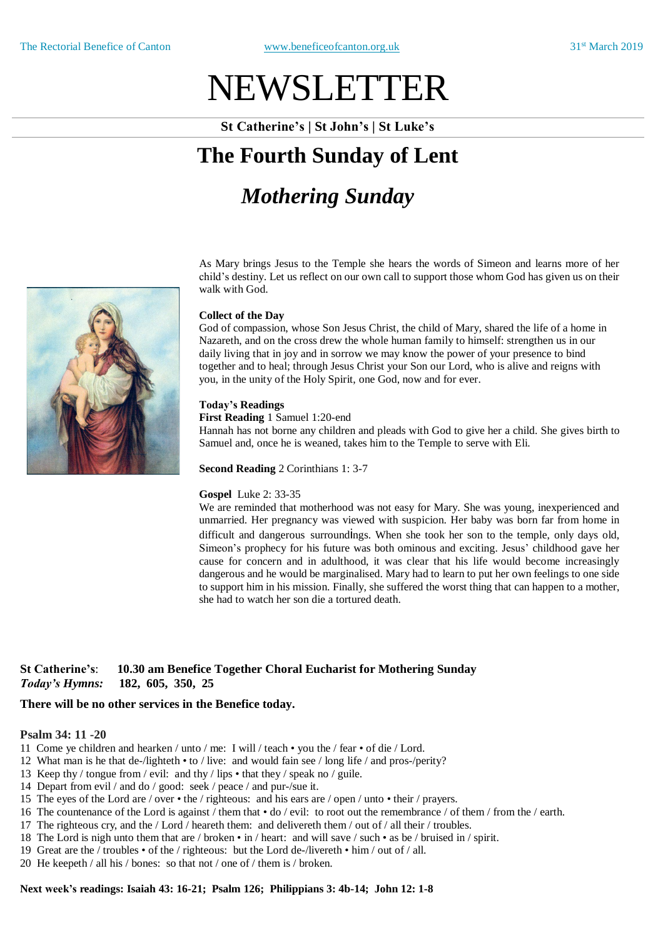# NEWSLETTER

**St Catherine's | St John's | St Luke's**

### **The Fourth Sunday of Lent**

## *Mothering Sunday*

As Mary brings Jesus to the Temple she hears the words of Simeon and learns more of her child's destiny. Let us reflect on our own call to support those whom God has given us on their walk with God.

#### **Collect of the Day**

God of compassion, whose Son Jesus Christ, the child of Mary, shared the life of a home in Nazareth, and on the cross drew the whole human family to himself: strengthen us in our daily living that in joy and in sorrow we may know the power of your presence to bind together and to heal; through Jesus Christ your Son our Lord, who is alive and reigns with you, in the unity of the Holy Spirit, one God, now and for ever.

#### **Today's Readings**

**First Reading** 1 Samuel 1:20-end

Hannah has not borne any children and pleads with God to give her a child. She gives birth to Samuel and, once he is weaned, takes him to the Temple to serve with Eli.

**Second Reading** 2 Corinthians 1: 3-7

#### **Gospel** Luke 2: 33-35

We are reminded that motherhood was not easy for Mary. She was young, inexperienced and unmarried. Her pregnancy was viewed with suspicion. Her baby was born far from home in difficult and dangerous surroundings. When she took her son to the temple, only days old, Simeon's prophecy for his future was both ominous and exciting. Jesus' childhood gave her cause for concern and in adulthood, it was clear that his life would become increasingly dangerous and he would be marginalised. Mary had to learn to put her own feelings to one side to support him in his mission. Finally, she suffered the worst thing that can happen to a mother, she had to watch her son die a tortured death.

#### **St Catherine's**: **10.30 am Benefice Together Choral Eucharist for Mothering Sunday**  *Today's Hymns:* **182, 605, 350, 25**

### **There will be no other services in the Benefice today.**

#### **Psalm 34: 11 -20**

- 11 Come ye children and hearken / unto / me: I will / teach you the / fear of die / Lord.
- 12 What man is he that de-/lighteth to / live: and would fain see / long life / and pros-/perity?
- 13 Keep thy / tongue from / evil: and thy / lips that they / speak no / guile.
- 14 Depart from evil / and do / good: seek / peace / and pur-/sue it.
- 15 The eyes of the Lord are / over the / righteous: and his ears are / open / unto their / prayers.
- 16 The countenance of the Lord is against / them that  $\cdot$  do / evil: to root out the remembrance / of them / from the / earth.
- 17 The righteous cry, and the / Lord / heareth them: and delivereth them / out of / all their / troubles.
- 18 The Lord is nigh unto them that are / broken in / heart: and will save / such as be / bruised in / spirit.
- 19 Great are the / troubles of the / righteous: but the Lord de-/livereth him / out of / all.
- 20 He keepeth / all his / bones: so that not / one of / them is / broken.

#### **Next week's readings: Isaiah 43: 16-21; Psalm 126; Philippians 3: 4b-14; John 12: 1-8**